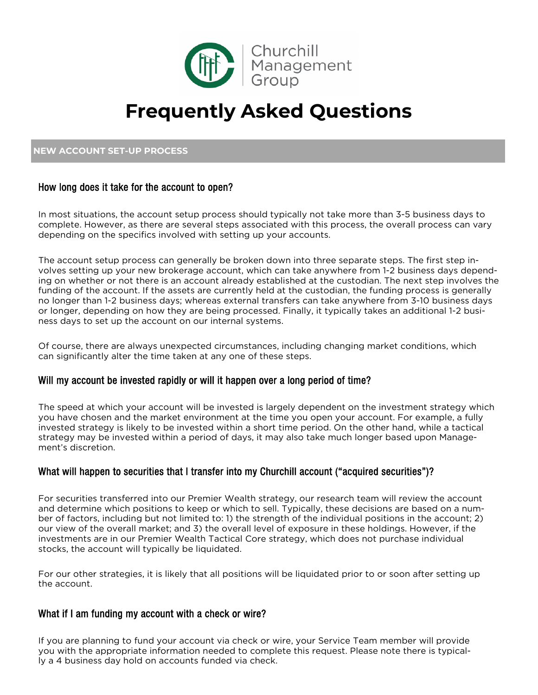

# **Frequently Asked Questions**

# **NEW ACCOUNT SET-UP PROCESS**

# How long does it take for the account to open?

In most situations, the account setup process should typically not take more than 3-5 business days to complete. However, as there are several steps associated with this process, the overall process can vary depending on the specifics involved with setting up your accounts.

The account setup process can generally be broken down into three separate steps. The first step involves setting up your new brokerage account, which can take anywhere from 1-2 business days depending on whether or not there is an account already established at the custodian. The next step involves the funding of the account. If the assets are currently held at the custodian, the funding process is generally no longer than 1-2 business days; whereas external transfers can take anywhere from 3-10 business days or longer, depending on how they are being processed. Finally, it typically takes an additional 1-2 business days to set up the account on our internal systems.

Of course, there are always unexpected circumstances, including changing market conditions, which can significantly alter the time taken at any one of these steps.

# Will my account be invested rapidly or will it happen over a long period of time?

The speed at which your account will be invested is largely dependent on the investment strategy which you have chosen and the market environment at the time you open your account. For example, a fully invested strategy is likely to be invested within a short time period. On the other hand, while a tactical strategy may be invested within a period of days, it may also take much longer based upon Management's discretion.

# What will happen to securities that I transfer into my Churchill account ("acquired securities")?

For securities transferred into our Premier Wealth strategy, our research team will review the account and determine which positions to keep or which to sell. Typically, these decisions are based on a number of factors, including but not limited to: 1) the strength of the individual positions in the account; 2) our view of the overall market; and 3) the overall level of exposure in these holdings. However, if the investments are in our Premier Wealth Tactical Core strategy, which does not purchase individual stocks, the account will typically be liquidated.

For our other strategies, it is likely that all positions will be liquidated prior to or soon after setting up the account.

#### What if I am funding my account with a check or wire?

If you are planning to fund your account via check or wire, your Service Team member will provide you with the appropriate information needed to complete this request. Please note there is typically a 4 business day hold on accounts funded via check.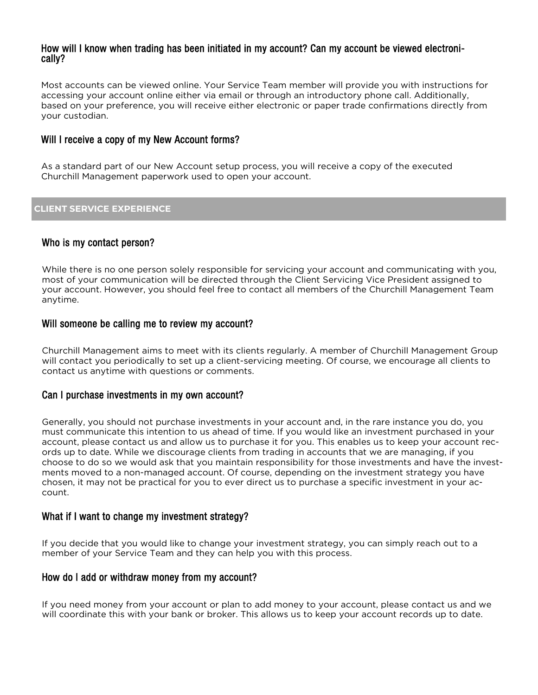#### How will I know when trading has been initiated in my account? Can my account be viewed electronically?

Most accounts can be viewed online. Your Service Team member will provide you with instructions for accessing your account online either via email or through an introductory phone call. Additionally, based on your preference, you will receive either electronic or paper trade confirmations directly from your custodian.

# Will I receive a copy of my New Account forms?

As a standard part of our New Account setup process, you will receive a copy of the executed Churchill Management paperwork used to open your account.

#### **CLIENT SERVICE EXPERIENCE**

# Who is my contact person?

While there is no one person solely responsible for servicing your account and communicating with you, most of your communication will be directed through the Client Servicing Vice President assigned to your account. However, you should feel free to contact all members of the Churchill Management Team anytime.

#### Will someone be calling me to review my account?

Churchill Management aims to meet with its clients regularly. A member of Churchill Management Group will contact you periodically to set up a client-servicing meeting. Of course, we encourage all clients to contact us anytime with questions or comments.

#### Can I purchase investments in my own account?

Generally, you should not purchase investments in your account and, in the rare instance you do, you must communicate this intention to us ahead of time. If you would like an investment purchased in your account, please contact us and allow us to purchase it for you. This enables us to keep your account records up to date. While we discourage clients from trading in accounts that we are managing, if you choose to do so we would ask that you maintain responsibility for those investments and have the investments moved to a non-managed account. Of course, depending on the investment strategy you have chosen, it may not be practical for you to ever direct us to purchase a specific investment in your account.

#### What if I want to change my investment strategy?

If you decide that you would like to change your investment strategy, you can simply reach out to a member of your Service Team and they can help you with this process.

#### How do I add or withdraw money from my account?

If you need money from your account or plan to add money to your account, please contact us and we will coordinate this with your bank or broker. This allows us to keep your account records up to date.